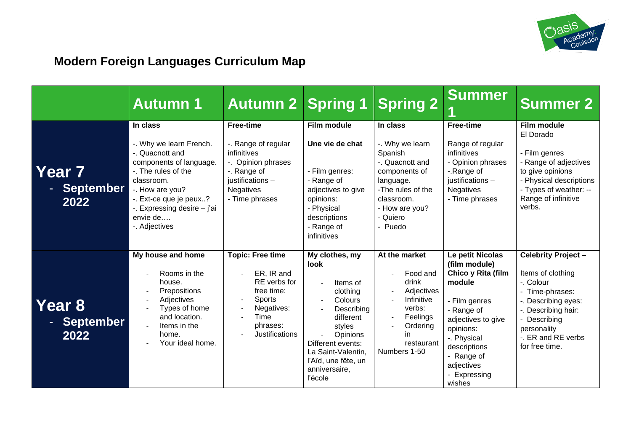

# **Modern Foreign Languages Curriculum Map**

|                                      | <b>Autumn 1</b>                                                                                                                                                                                                                 | <b>Autumn 2 Spring 1</b>                                                                                                                              |                                                                                                                                                                                                                 | <b>Spring 2</b>                                                                                                                                                     | <b>Summer</b>                                                                                                                                                                                                            | <b>Summer 2</b>                                                                                                                                                                            |
|--------------------------------------|---------------------------------------------------------------------------------------------------------------------------------------------------------------------------------------------------------------------------------|-------------------------------------------------------------------------------------------------------------------------------------------------------|-----------------------------------------------------------------------------------------------------------------------------------------------------------------------------------------------------------------|---------------------------------------------------------------------------------------------------------------------------------------------------------------------|--------------------------------------------------------------------------------------------------------------------------------------------------------------------------------------------------------------------------|--------------------------------------------------------------------------------------------------------------------------------------------------------------------------------------------|
| <b>Year 7</b><br>- September<br>2022 | In class<br>-. Why we learn French.<br>-. Quacnott and<br>components of language.<br>-. The rules of the<br>classroom.<br>-. How are you?<br>-. Ext-ce que je peux?<br>-. Expressing desire - j'ai<br>envie de<br>-. Adjectives | <b>Free-time</b><br>-. Range of regular<br>infinitives<br>-. Opinion phrases<br>-. Range of<br>justifications -<br><b>Negatives</b><br>- Time phrases | Film module<br>Une vie de chat<br>- Film genres:<br>- Range of<br>adjectives to give<br>opinions:<br>- Physical<br>descriptions<br>- Range of<br>infinitives                                                    | In class<br>-. Why we learn<br>Spanish<br>-. Quacnott and<br>components of<br>language.<br>-The rules of the<br>classroom.<br>- How are you?<br>- Quiero<br>- Puedo | <b>Free-time</b><br>Range of regular<br>infinitives<br>- Opinion phrases<br>-.Range of<br>justifications -<br><b>Negatives</b><br>- Time phrases                                                                         | Film module<br>El Dorado<br>- Film genres<br>- Range of adjectives<br>to give opinions<br>- Physical descriptions<br>- Types of weather: --<br>Range of infinitive<br>verbs.               |
| Year 8<br><b>September</b><br>2022   | My house and home<br>Rooms in the<br>house.<br>Prepositions<br>Adjectives<br>Types of home<br>and location.<br>Items in the<br>home.<br>Your ideal home.                                                                        | <b>Topic: Free time</b><br>ER, IR and<br>RE verbs for<br>free time:<br><b>Sports</b><br>Negatives:<br>Time<br>phrases:<br>Justifications              | My clothes, my<br>look<br>Items of<br>clothing<br>Colours<br>Describing<br>different<br>styles<br><b>Opinions</b><br>Different events:<br>La Saint-Valentin,<br>l'Aïd, une fête, un<br>anniversaire,<br>l'école | At the market<br>Food and<br>drink<br>Adjectives<br>Infinitive<br>verbs:<br>Feelings<br>Ordering<br>in.<br>restaurant<br>Numbers 1-50                               | Le petit Nicolas<br>(film module)<br>Chico y Rita (film<br>module<br>- Film genres<br>- Range of<br>adjectives to give<br>opinions:<br>-. Physical<br>descriptions<br>- Range of<br>adjectives<br>- Expressing<br>wishes | Celebrity Project-<br>Items of clothing<br>-. Colour<br>- Time-phrases:<br>-. Describing eyes:<br>-. Describing hair:<br>Describing<br>personality<br>-. ER and RE verbs<br>for free time. |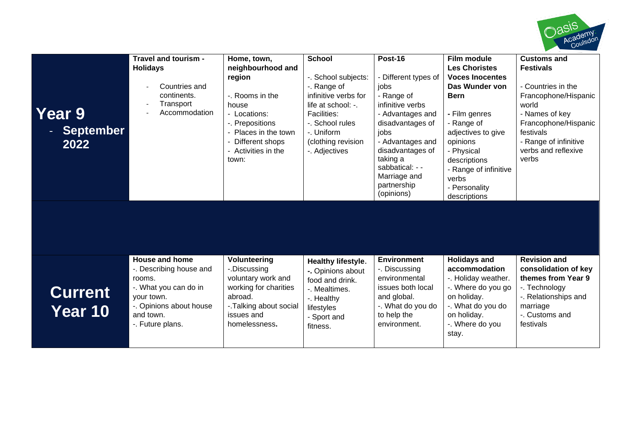

| <b>Year 9</b><br><b>September</b><br>2022 | Travel and tourism -<br><b>Holidays</b><br>Countries and<br>continents.<br>Transport<br>Accommodation                                                         | Home, town,<br>neighbourhood and<br>region<br>-. Rooms in the<br>house<br>- Locations:<br>-. Prepositions<br>Places in the town<br>Different shops<br>- Activities in the<br>town: | <b>School</b><br>-. School subjects:<br>-. Range of<br>infinitive verbs for<br>life at school: -.<br><b>Facilities:</b><br>-. School rules<br>-. Uniform<br>(clothing revision<br>-. Adjectives | Post-16<br>- Different types of<br>jobs<br>- Range of<br>infinitive verbs<br>- Advantages and<br>disadvantages of<br>jobs<br>- Advantages and<br>disadvantages of<br>taking a<br>sabbatical: - -<br>Marriage and<br>partnership<br>(opinions) | Film module<br><b>Les Choristes</b><br><b>Voces Inocentes</b><br>Das Wunder von<br><b>Bern</b><br>- Film genres<br>- Range of<br>adjectives to give<br>opinions<br>- Physical<br>descriptions<br>- Range of infinitive<br>verbs<br>- Personality<br>descriptions | <b>Customs and</b><br><b>Festivals</b><br>- Countries in the<br>Francophone/Hispanic<br>world<br>- Names of key<br>Francophone/Hispanic<br>festivals<br>- Range of infinitive<br>verbs and reflexive<br>verbs |
|-------------------------------------------|---------------------------------------------------------------------------------------------------------------------------------------------------------------|------------------------------------------------------------------------------------------------------------------------------------------------------------------------------------|-------------------------------------------------------------------------------------------------------------------------------------------------------------------------------------------------|-----------------------------------------------------------------------------------------------------------------------------------------------------------------------------------------------------------------------------------------------|------------------------------------------------------------------------------------------------------------------------------------------------------------------------------------------------------------------------------------------------------------------|---------------------------------------------------------------------------------------------------------------------------------------------------------------------------------------------------------------|
|                                           |                                                                                                                                                               |                                                                                                                                                                                    |                                                                                                                                                                                                 |                                                                                                                                                                                                                                               |                                                                                                                                                                                                                                                                  |                                                                                                                                                                                                               |
| <b>Current</b><br>Year 10                 | <b>House and home</b><br>-. Describing house and<br>rooms.<br>-. What you can do in<br>your town.<br>-. Opinions about house<br>and town.<br>-. Future plans. | Volunteering<br>-.Discussing<br>voluntary work and<br>working for charities<br>abroad.<br>-. Talking about social<br>issues and<br>homelessness.                                   | Healthy lifestyle.<br>-. Opinions about<br>food and drink.<br>-. Mealtimes.<br>-. Healthy<br>lifestyles<br>- Sport and<br>fitness.                                                              | <b>Environment</b><br>-. Discussing<br>environmental<br>issues both local<br>and global.<br>-. What do you do<br>to help the<br>environment.                                                                                                  | <b>Holidays and</b><br>accommodation<br>-. Holiday weather.<br>-. Where do you go<br>on holiday.<br>-. What do you do<br>on holiday.<br>-. Where do you<br>stay.                                                                                                 | <b>Revision and</b><br>consolidation of key<br>themes from Year 9<br>-. Technology<br>-. Relationships and<br>marriage<br>-. Customs and<br>festivals                                                         |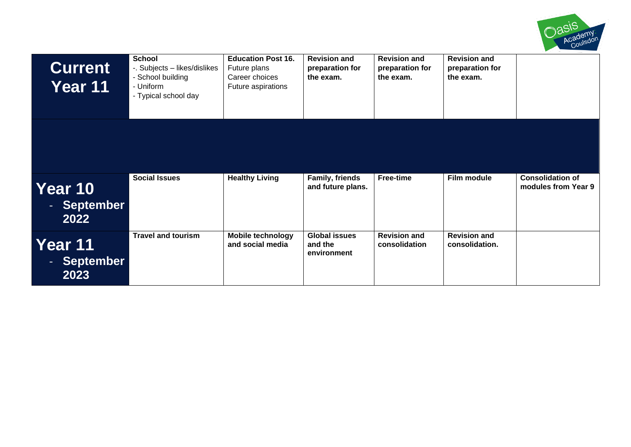

| <b>Current</b><br>Year 11      | <b>School</b><br>-. Subjects - likes/dislikes<br>- School building<br>- Uniform<br>- Typical school day | <b>Education Post 16.</b><br>Future plans<br>Career choices<br>Future aspirations | <b>Revision and</b><br>preparation for<br>the exam. | <b>Revision and</b><br>preparation for<br>the exam. | <b>Revision and</b><br>preparation for<br>the exam. |                                                |
|--------------------------------|---------------------------------------------------------------------------------------------------------|-----------------------------------------------------------------------------------|-----------------------------------------------------|-----------------------------------------------------|-----------------------------------------------------|------------------------------------------------|
|                                |                                                                                                         |                                                                                   |                                                     |                                                     |                                                     |                                                |
| Year 10<br>- September<br>2022 | <b>Social Issues</b>                                                                                    | <b>Healthy Living</b>                                                             | Family, friends<br>and future plans.                | <b>Free-time</b>                                    | Film module                                         | <b>Consolidation of</b><br>modules from Year 9 |
| Year 11<br>- September<br>2023 | <b>Travel and tourism</b>                                                                               | <b>Mobile technology</b><br>and social media                                      | <b>Global issues</b><br>and the<br>environment      | <b>Revision and</b><br>consolidation                | <b>Revision and</b><br>consolidation.               |                                                |